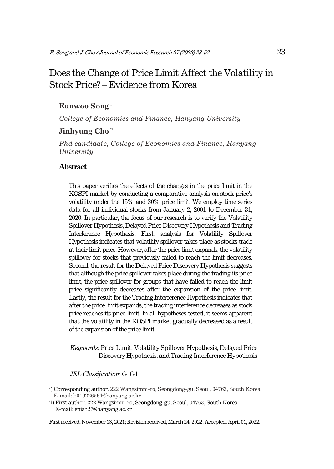# Does the Change of Price Limit Affect the Volatility in Stock Price? – Evidence from Korea1

## **Eunwoo Song**<sup>i</sup>

*College of Economics and Finance, Hanyang University* 

# **Jinhyung Cho**<sup>ii</sup>

*Phd candidate, College of Economics and Finance, Hanyang University* 

This paper verifies the effects of the changes in the price limit in the KOSPI market by conducting a comparative analysis on stock price's volatility under the 15% and 30% price limit. We employ time series data for all individual stocks from January 2, 2001 to December 31, 2020. In particular, the focus of our research is to verify the Volatility Spillover Hypothesis, Delayed Price Discovery Hypothesis and Trading Interference Hypothesis. First, analysis for Volatility Spillover Hypothesis indicates that volatility spillover takes place as stocks trade at their limit price. However, after the price limit expands, the volatility spillover for stocks that previously failed to reach the limit decreases. Second, the result for the Delayed Price Discovery Hypothesis suggests that although the price spillover takes place during the trading its price limit, the price spillover for groups that have failed to reach the limit price significantly decreases after the expansion of the price limit. Lastly, the result for the Trading Interference Hypothesis indicates that after the price limit expands, the trading interference decreases as stock price reaches its price limit. In all hypotheses tested, it seems apparent that the volatility in the KOSPI market gradually decreased as a result of the expansion of the price limit.

*Keywords*: Price Limit, Volatility Spillover Hypothesis, Delayed Price Discovery Hypothesis, and Trading Interference Hypothesis

*JEL Classification*: G, G1

i) Corresponding author. 222 Wangsimni-ro, Seongdong-gu, Seoul, 04763, South Korea. E-mail: b019226564@hanyang.ac.kr

ii) First author. 222 Wangsimni-ro, Seongdong-gu, Seoul, 04763, South Korea. E-mail: enish27@hanyang.ac.kr

First received, November 13, 2021; Revision received, March 24, 2022; Accepted, April 01, 2022.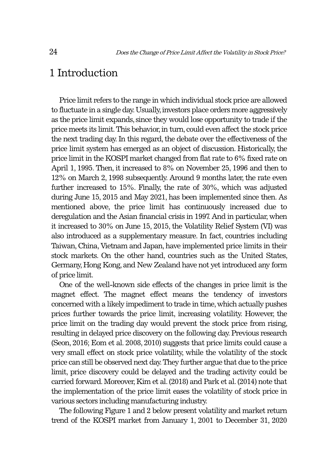# 1 Introduction

Price limit refers to the range in which individual stock price are allowed to fluctuate in a single day. Usually, investors place orders more aggressively as the price limit expands, since they would lose opportunity to trade if the price meets its limit. This behavior, in turn, could even affect the stock price the next trading day. In this regard, the debate over the effectiveness of the price limit system has emerged as an object of discussion. Historically, the price limit in the KOSPI market changed from flat rate to 6% fixed rate on April 1, 1995. Then, it increased to 8% on November 25, 1996 and then to 12% on March 2, 1998 subsequently. Around 9 months later, the rate even further increased to 15%. Finally, the rate of 30%, which was adjusted during June 15, 2015 and May 2021, has been implemented since then. As mentioned above, the price limit has continuously increased due to deregulation and the Asian financial crisis in 1997. And in particular, when it increased to 30% on June 15, 2015, the Volatility Relief System (VI) was also introduced as a supplementary measure. In fact, countries including Taiwan, China, Vietnam and Japan, have implemented price limits in their stock markets. On the other hand, countries such as the United States, Germany, Hong Kong, and New Zealand have not yet introduced any form of price limit.

One of the well-known side effects of the changes in price limit is the magnet effect. The magnet effect means the tendency of investors concerned with a likely impediment to trade in time, which actually pushes prices further towards the price limit, increasing volatility. However, the price limit on the trading day would prevent the stock price from rising, resulting in delayed price discovery on the following day. Previous research (Seon, 2016; Eom et al. 2008, 2010) suggests that price limits could cause a very small effect on stock price volatility, while the volatility of the stock price can still be observed next day. They further argue that due to the price limit, price discovery could be delayed and the trading activity could be carried forward. Moreover, Kim et al. (2018) and Park et al. (2014) note that the implementation of the price limit eases the volatility of stock price in various sectors including manufacturing industry.

The following Figure 1 and 2 below present volatility and market return trend of the KOSPI market from January 1, 2001 to December 31, 2020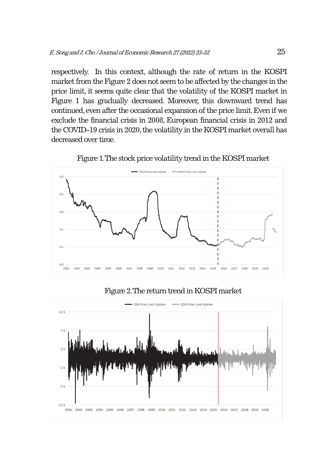respectively. In this context, although the rate of return in the KOSPI market from the Figure 2 does not seem to be affected by the changes in the price limit, it seems quite clear that the volatility of the KOSPI market in Figure 1 has gradually decreased. Moreover, this downward trend has continued, even after the occasional expansion of the price limit. Even if we exclude the financial crisis in 2008, European financial crisis in 2012 and the COVID-19 crisis in 2020, the volatility in the KOSPI market overall has decreased over time.



Figure 1. The stock price volatility trend in the KOSPI market

#### Figure 2. The return trend in KOSPI market

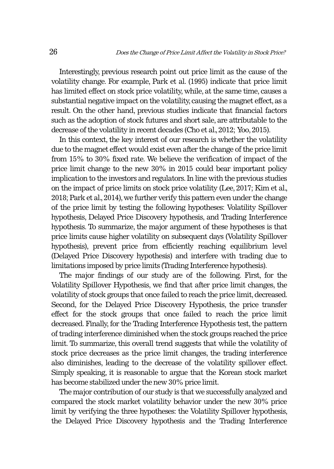Interestingly, previous research point out price limit as the cause of the volatility change. For example, Park et al. (1995) indicate that price limit has limited effect on stock price volatility, while, at the same time, causes a substantial negative impact on the volatility, causing the magnet effect, as a result. On the other hand, previous studies indicate that financial factors such as the adoption of stock futures and short sale, are attributable to the decrease of the volatility in recent decades (Cho et al., 2012; Yoo, 2015).

In this context, the key interest of our research is whether the volatility due to the magnet effect would exist even after the change of the price limit from 15% to 30% fixed rate. We believe the verification of impact of the price limit change to the new 30% in 2015 could bear important policy implication to the investors and regulators. In line with the previous studies on the impact of price limits on stock price volatility (Lee, 2017; Kim et al., 2018; Park et al., 2014), we further verify this pattern even under the change of the price limit by testing the following hypotheses: Volatility Spillover hypothesis, Delayed Price Discovery hypothesis, and Trading Interference hypothesis. To summarize, the major argument of these hypotheses is that price limits cause higher volatility on subsequent days (Volatility Spillover hypothesis), prevent price from efficiently reaching equilibrium level (Delayed Price Discovery hypothesis) and interfere with trading due to limitations imposed by price limits (Trading Interference hypothesis).

The major findings of our study are of the following. First, for the Volatility Spillover Hypothesis, we find that after price limit changes, the volatility of stock groups that once failed to reach the price limit, decreased. Second, for the Delayed Price Discovery Hypothesis, the price transfer effect for the stock groups that once failed to reach the price limit decreased. Finally, for the Trading Interference Hypothesis test, the pattern of trading interference diminished when the stock groups reached the price limit. To summarize, this overall trend suggests that while the volatility of stock price decreases as the price limit changes, the trading interference also diminishes, leading to the decrease of the volatility spillover effect. Simply speaking, it is reasonable to argue that the Korean stock market has become stabilized under the new 30% price limit.

The major contribution of our study is that we successfully analyzed and compared the stock market volatility behavior under the new 30% price limit by verifying the three hypotheses: the Volatility Spillover hypothesis, the Delayed Price Discovery hypothesis and the Trading Interference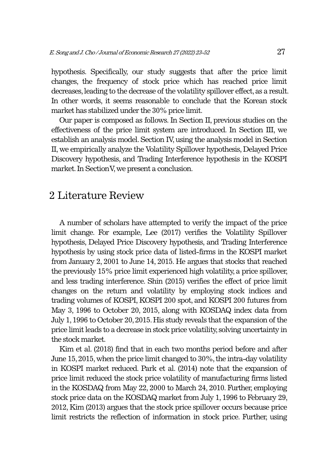hypothesis. Specifically, our study suggests that after the price limit changes, the frequency of stock price which has reached price limit decreases, leading to the decrease of the volatility spillover effect, as a result. In other words, it seems reasonable to conclude that the Korean stock market has stabilized under the 30% price limit.

Our paper is composed as follows. In Section II, previous studies on the effectiveness of the price limit system are introduced. In Section III, we establish an analysis model. Section IV, using the analysis model in Section II, we empirically analyze the Volatility Spillover hypothesis, Delayed Price Discovery hypothesis, and Trading Interference hypothesis in the KOSPI market. In Section V, we present a conclusion.

# 2 Literature Review

A number of scholars have attempted to verify the impact of the price limit change. For example, Lee (2017) verifies the Volatility Spillover hypothesis, Delayed Price Discovery hypothesis, and Trading Interference hypothesis by using stock price data of listed-firms in the KOSPI market from January 2, 2001 to June 14, 2015. He argues that stocks that reached the previously 15% price limit experienced high volatility, a price spillover, and less trading interference. Shin (2015) verifies the effect of price limit changes on the return and volatility by employing stock indices and trading volumes of KOSPI, KOSPI 200 spot, and KOSPI 200 futures from May 3, 1996 to October 20, 2015, along with KOSDAQ index data from July 1, 1996 to October 20, 2015. His study reveals that the expansion of the price limit leads to a decrease in stock price volatility, solving uncertainty in the stock market.

Kim et al. (2018) find that in each two months period before and after June 15, 2015, when the price limit changed to 30%, the intra-day volatility in KOSPI market reduced. Park et al. (2014) note that the expansion of price limit reduced the stock price volatility of manufacturing firms listed in the KOSDAQ from May 22, 2000 to March 24, 2010. Further, employing stock price data on the KOSDAQ market from July 1, 1996 to February 29, 2012, Kim (2013) argues that the stock price spillover occurs because price limit restricts the reflection of information in stock price. Further, using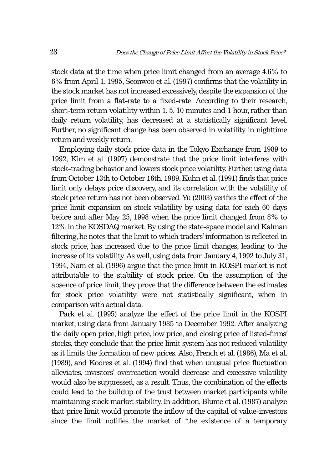stock data at the time when price limit changed from an average 4.6% to 6% from April 1, 1995, Seonwoo et al. (1997) confirms that the volatility in the stock market has not increased excessively, despite the expansion of the price limit from a flat-rate to a fixed-rate. According to their research, short-term return volatility within 1, 5, 10 minutes and 1 hour, rather than daily return volatility, has decreased at a statistically significant level. Further, no significant change has been observed in volatility in nighttime return and weekly return.

Employing daily stock price data in the Tokyo Exchange from 1989 to 1992, Kim et al. (1997) demonstrate that the price limit interferes with stock-trading behavior and lowers stock price volatility. Further, using data from October 13th to October 16th, 1989, Kuhn et al. (1991) finds that price limit only delays price discovery, and its correlation with the volatility of stock price return has not been observed. Yu (2003) verifies the effect of the price limit expansion on stock volatility by using data for each 60 days before and after May 25, 1998 when the price limit changed from 8% to 12% in the KOSDAQ market. By using the state-space model and Kalman filtering, he notes that the limit to which traders' information is reflected in stock price, has increased due to the price limit changes, leading to the increase of its volatility. As well, using data from January 4, 1992 to July 31, 1994, Nam et al. (1996) argue that the price limit in KOSPI market is not attributable to the stability of stock price. On the assumption of the absence of price limit, they prove that the difference between the estimates for stock price volatility were not statistically significant, when in comparison with actual data.

Park et al. (1995) analyze the effect of the price limit in the KOSPI market, using data from January 1985 to December 1992. After analyzing the daily open price, high price, low price, and closing price of listed-firms' stocks, they conclude that the price limit system has not reduced volatility as it limits the formation of new prices. Also, French et al. (1986), Ma et al. (1989), and Kodres et al. (1994) find that when unusual price fluctuation alleviates, investors' overreaction would decrease and excessive volatility would also be suppressed, as a result. Thus, the combination of the effects could lead to the buildup of the trust between market participants while maintaining stock market stability. In addition, Blume et al. (1987) analyze that price limit would promote the inflow of the capital of value-investors since the limit notifies the market of 'the existence of a temporary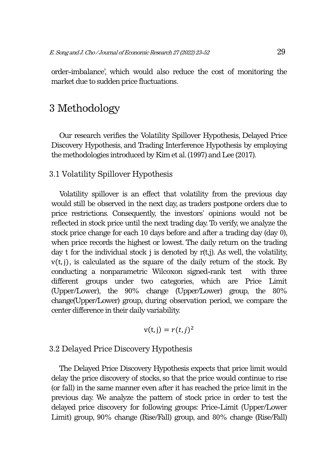order-imbalance', which would also reduce the cost of monitoring the market due to sudden price fluctuations.

# 3 Methodology

Our research verifies the Volatility Spillover Hypothesis, Delayed Price Discovery Hypothesis, and Trading Interference Hypothesis by employing the methodologies introduced by Kim et al. (1997) and Lee (2017).

## 3.1 Volatility Spillover Hypothesis

Volatility spillover is an effect that volatility from the previous day would still be observed in the next day, as traders postpone orders due to price restrictions. Consequently, the investors' opinions would not be reflected in stock price until the next trading day. To verify, we analyze the stock price change for each 10 days before and after a trading day (day 0), when price records the highest or lowest. The daily return on the trading day t for the individual stock j is denoted by  $r(t,j)$ . As well, the volatility,  $v(t, i)$ , is calculated as the square of the daily return of the stock. By conducting a nonparametric Wilcoxon signed-rank test with three different groups under two categories, which are Price Limit (Upper/Lower), the 90% change (Upper/Lower) group, the 80% change(Upper/Lower) group, during observation period, we compare the center difference in their daily variability.

$$
v(t, j) = r(t, j)^2
$$

## 3.2 Delayed Price Discovery Hypothesis

The Delayed Price Discovery Hypothesis expects that price limit would delay the price discovery of stocks, so that the price would continue to rise (or fall) in the same manner even after it has reached the price limit in the previous day. We analyze the pattern of stock price in order to test the delayed price discovery for following groups: Price-Limit (Upper/Lower Limit) group, 90% change (Rise/Fall) group, and 80% change (Rise/Fall)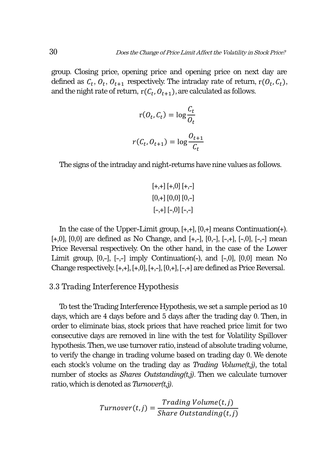group. Closing price, opening price and opening price on next day are defined as  $C_t$ ,  $O_t$ ,  $O_{t+1}$  respectively. The intraday rate of return,  $r(O_t, C_t)$ , and the night rate of return,  $r(C_t, O_{t+1})$ , are calculated as follows.

$$
r(O_t, C_t) = \log \frac{C_t}{O_t}
$$

$$
r(C_t, O_{t+1}) = \log \frac{O_{t+1}}{C_t}
$$

The signs of the intraday and night-returns have nine values as follows.

$$
[+,+] [+,0] [+,-]
$$
  

$$
[0,+] [0,0] [0,-]
$$
  

$$
[-,+] [-,0] [-,-]
$$

In the case of the Upper-Limit group, [+,+], [0,+] means Continuation(+).  $[+,0], [0,0]$  are defined as No Change, and  $[+,+]$ ,  $[0,-]$ ,  $[-,+]$ ,  $[-,0]$ ,  $[-,-]$  mean Price Reversal respectively. On the other hand, in the case of the Lower Limit group, [0,-], [-,-] imply Continuation(-), and [-,0], [0,0] mean No Change respectively.  $[+,+]$ ,  $[+,0]$ ,  $[+,]$ ,  $[0,+]$ ,  $[-,+]$  are defined as Price Reversal.

## 3.3 Trading Interference Hypothesis

To test the Trading Interference Hypothesis, we set a sample period as 10 days, which are 4 days before and 5 days after the trading day 0. Then, in order to eliminate bias, stock prices that have reached price limit for two consecutive days are removed in line with the test for Volatility Spillover hypothesis. Then, we use turnover ratio, instead of absolute trading volume, to verify the change in trading volume based on trading day 0. We denote each stock's volume on the trading day as *Trading Volume(t,j)*, the total number of stocks as *Shares Outstanding(t,j)*. Then we calculate turnover ratio, which is denoted as *Turnover(t,j)*.

$$
Turnover(t,j) = \frac{Trading \, Volume(t,j)}{Share \, Outstanding(t,j)}
$$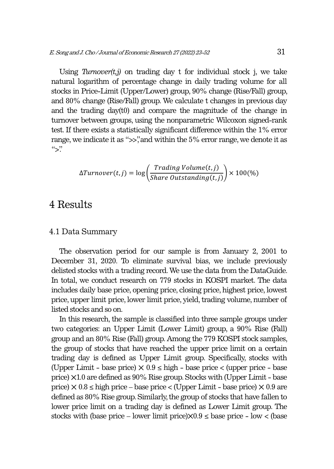Using  $Turnover(t, j)$  on trading day t for individual stock j, we take natural logarithm of percentage change in daily trading volume for all stocks in Price-Limit (Upper/Lower) group, 90% change (Rise/Fall) group, and 80% change (Rise/Fall) group. We calculate t changes in previous day and the trading day(t0) and compare the magnitude of the change in turnover between groups, using the nonparametric Wilcoxon signed-rank test. If there exists a statistically significant difference within the 1% error range, we indicate it as ">>", and within the 5% error range, we denote it as  $"`$ 

$$
\Delta Turnover(t, j) = \log \left( \frac{Trading \, Volume(t, j)}{Share \, Outstanding(t, j)} \right) \times 100\%
$$

# 4 Results

### 4.1 Data Summary

The observation period for our sample is from January 2, 2001 to December 31, 2020. To eliminate survival bias, we include previously delisted stocks with a trading record. We use the data from the DataGuide. In total, we conduct research on 779 stocks in KOSPI market. The data includes daily base price, opening price, closing price, highest price, lowest price, upper limit price, lower limit price, yield, trading volume, number of listed stocks and so on.

In this research, the sample is classified into three sample groups under two categories: an Upper Limit (Lower Limit) group, a 90% Rise (Fall) group and an 80% Rise (Fall) group. Among the 779 KOSPI stock samples, the group of stocks that have reached the upper price limit on a certain trading day is defined as Upper Limit group. Specifically, stocks with (Upper Limit - base price)  $\times$  0.9  $\leq$  high - base price  $\lt$  (upper price - base price) ⨉1.0 are defined as 90% Rise group. Stocks with (Upper Limit - base price)  $\times$  0.8  $\leq$  high price – base price  $\lt$  (Upper Limit – base price)  $\times$  0.9 are defined as 80% Rise group. Similarly, the group of stocks that have fallen to lower price limit on a trading day is defined as Lower Limit group. The stocks with (base price – lower limit price) $\times 0.9 \le$  base price – low  $<$  (base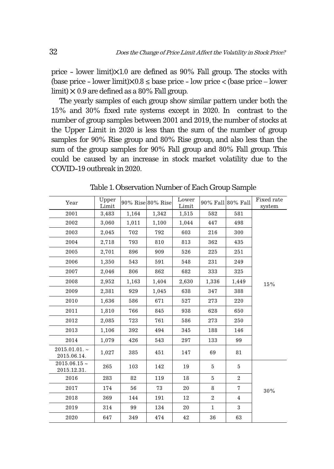price - lower limit) $\times$ 1.0 are defined as 90% Fall group. The stocks with (base price - lower limit) $\times$ 0.8  $\leq$  base price - low price  $\lt$  (base price - lower limit)  $\times$  0.9 are defined as a 80% Fall group.

The yearly samples of each group show similar pattern under both the 15% and 30% fixed rate systems except in 2020. In contrast to the number of group samples between 2001 and 2019, the number of stocks at the Upper Limit in 2020 is less than the sum of the number of group samples for 90% Rise group and 80% Rise group, and also less than the sum of the group samples for 90% Fall group and 80% Fall group. This could be caused by an increase in stock market volatility due to the COVID-19 outbreak in 2020.

| Year                             | Upper<br>Limit |       | 90% Rise 80% Rise | Lower<br>Limit |                | 90% Fall 80% Fall | Fixed rate<br>system |
|----------------------------------|----------------|-------|-------------------|----------------|----------------|-------------------|----------------------|
| 2001                             | 3,483          | 1,164 | 1,342             | 1,515          | 582            | 581               |                      |
| 2002                             | 3,060          | 1,011 | 1,100             | 1,044          | 447            | 498               |                      |
| 2003                             | 2,045          | 702   | 792               | 603            | 216            | 300               |                      |
| 2004                             | 2,718          | 793   | 810               | 813            | 362            | 435               |                      |
| 2005                             | 2,701          | 896   | 909               | 526            | 225            | 251               |                      |
| 2006                             | 1,350          | 543   | 591               | 548            | 231            | 249               |                      |
| 2007                             | 2,046          | 806   | 862               | 682            | 333            | 325               |                      |
| 2008                             | 2,952          | 1,163 | 1,404             | 2,630          | 1,336          | 1,449             | 15%                  |
| 2009                             | 2,381          | 929   | 1,045             | 638            | 347            | 388               |                      |
| 2010                             | 1,636          | 586   | 671               | 527            | 273            | 220               |                      |
| 2011                             | 1,810          | 766   | 845               | 938            | 628            | 650               |                      |
| 2012                             | 2,085          | 723   | 761               | 586            | 273            | 250               |                      |
| 2013                             | 1,106          | 392   | 494               | 345            | 188            | 146               |                      |
| 2014                             | 1,079          | 426   | 543               | 297            | 133            | 99                |                      |
| 2015.01.01.<br>2015.06.14.       | 1,027          | 385   | 451               | 147            | 69             | 81                |                      |
| $2015.06.15 \sim$<br>2015.12.31. | 265            | 103   | 142               | 19             | 5              | 5                 |                      |
| 2016                             | 283            | 82    | 119               | 18             | 5              | $\overline{2}$    |                      |
| 2017                             | 174            | 56    | 73                | 20             | 8              | $\overline{7}$    | 30%                  |
| 2018                             | 369            | 144   | 191               | 12             | $\overline{2}$ | $\overline{4}$    |                      |
| 2019                             | 314            | 99    | 134               | 20             | $\mathbf{1}$   | 3                 |                      |
| 2020                             | 647            | 349   | 474               | 42             | 36             | 63                |                      |

Table 1. Observation Number of Each Group Sample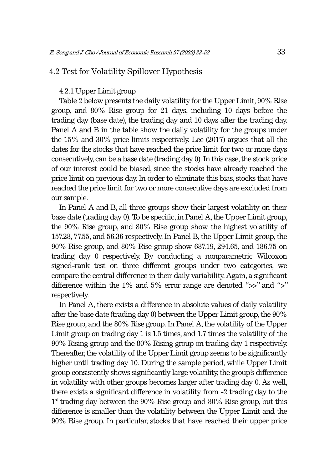# 4.2 Test for Volatility Spillover Hypothesis

#### 4.2.1 Upper Limit group

Table 2 below presents the daily volatility for the Upper Limit, 90% Rise group, and 80% Rise group for 21 days, including 10 days before the trading day (base date), the trading day and 10 days after the trading day. Panel A and B in the table show the daily volatility for the groups under the 15% and 30% price limits respectively. Lee (2017) argues that all the dates for the stocks that have reached the price limit for two or more days consecutively, can be a base date (trading day 0). In this case, the stock price of our interest could be biased, since the stocks have already reached the price limit on previous day. In order to eliminate this bias, stocks that have reached the price limit for two or more consecutive days are excluded from our sample.

In Panel A and B, all three groups show their largest volatility on their base date (trading day 0). To be specific, in Panel A, the Upper Limit group, the 90% Rise group, and 80% Rise group show the highest volatility of 157.28, 77.55, and 56.36 respectively. In Panel B, the Upper Limit group, the 90% Rise group, and 80% Rise group show 687.19, 294.65, and 186.75 on trading day 0 respectively. By conducting a nonparametric Wilcoxon signed-rank test on three different groups under two categories, we compare the central difference in their daily variability. Again, a significant difference within the 1% and 5% error range are denoted ">>" and ">" respectively.

In Panel A, there exists a difference in absolute values of daily volatility after the base date (trading day 0) between the Upper Limit group, the 90% Rise group, and the 80% Rise group. In Panel A, the volatility of the Upper Limit group on trading day 1 is 1.5 times, and 1.7 times the volatility of the 90% Rising group and the 80% Rising group on trading day 1 respectively. Thereafter, the volatility of the Upper Limit group seems to be significantly higher until trading day 10. During the sample period, while Upper Limit group consistently shows significantly large volatility, the group's difference in volatility with other groups becomes larger after trading day 0. As well, there exists a significant difference in volatility from -2 trading day to the  $1<sup>st</sup>$  trading day between the 90% Rise group and 80% Rise group, but this difference is smaller than the volatility between the Upper Limit and the 90% Rise group. In particular, stocks that have reached their upper price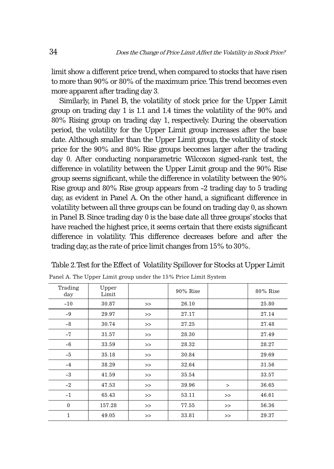limit show a different price trend, when compared to stocks that have risen to more than 90% or 80% of the maximum price. This trend becomes even more apparent after trading day 3.

Similarly, in Panel B, the volatility of stock price for the Upper Limit group on trading day 1 is 1.1 and 1.4 times the volatility of the 90% and 80% Rising group on trading day 1, respectively. During the observation period, the volatility for the Upper Limit group increases after the base date. Although smaller than the Upper Limit group, the volatility of stock price for the 90% and 80% Rise groups becomes larger after the trading day 0. After conducting nonparametric Wilcoxon signed-rank test, the difference in volatility between the Upper Limit group and the 90% Rise group seems significant, while the difference in volatility between the 90% Rise group and 80% Rise group appears from -2 trading day to 5 trading day, as evident in Panel A. On the other hand, a significant difference in volatility between all three groups can be found on trading day 0, as shown in Panel B. Since trading day 0 is the base date all three groups' stocks that have reached the highest price, it seems certain that there exists significant difference in volatility. This difference decreases before and after the trading day, as the rate of price limit changes from 15% to 30%.

| Trading<br>day | Upper<br>Limit |       | $90\%$ Rise |        | 80% Rise |
|----------------|----------------|-------|-------------|--------|----------|
| $-10$          | 30.87          | $\gt$ | 26.10       |        | 25.80    |
| $-9$           | 29.97          | $\gt$ | 27.17       |        | 27.14    |
| $-8$           | 30.74          | $\gt$ | 27.25       |        | 27.48    |
| $-7$           | 31.57          | $\gt$ | 28.30       |        | 27.49    |
| $-6$           | 33.59          | $\gt$ | 28.32       |        | 28.27    |
| $-5$           | 35.18          | $\gt$ | 30.84       |        | 29.69    |
| $-4$           | 38.29          | $\gt$ | 32.64       |        | 31.56    |
| $-3$           | 41.59          | >>    | 35.54       |        | 33.57    |
| $-2$           | 47.53          | $\gt$ | 39.96       | $\geq$ | 36.65    |
| $-1$           | 65.43          | >>    | 53.11       | $>\!>$ | 46.61    |
| $\mathbf{0}$   | 157.28         | $\gt$ | 77.55       | >>     | 56.36    |
| $\mathbf{1}$   | 49.05          | $\gt$ | 33.81       | >>     | 29.37    |

Table 2. Test for the Effect of Volatility Spillover for Stocks at Upper Limit

Panel A. The Upper Limit group under the 15% Price Limit System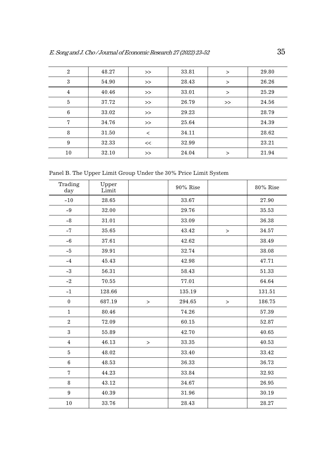| $\overline{2}$ | 48.27 | $\rm{>>}$ | 33.81 | $\rm{~}$ | 29.80 |
|----------------|-------|-----------|-------|----------|-------|
| 3              | 54.90 | $>>$      | 28.43 | $\rm{~}$ | 26.26 |
| 4              | 40.46 | $\gt$     | 33.01 | $\rm{>}$ | 25.29 |
| 5              | 37.72 | $\gt$     | 26.79 | >        | 24.56 |
| 6              | 33.02 | $\gt$     | 29.23 |          | 28.79 |
| 7              | 34.76 | $\gt$     | 25.64 |          | 24.39 |
| 8              | 31.50 | $\lt$     | 34.11 |          | 28.62 |
| 9              | 32.33 | <<        | 32.99 |          | 23.21 |
| 10             | 32.10 | >         | 24.04 | >        | 21.94 |

Panel B. The Upper Limit Group Under the 30% Price Limit System

| Trading<br>day   | Upper<br>Limit |         | 90% Rise |        | 80% Rise |
|------------------|----------------|---------|----------|--------|----------|
| $-10$            | 28.65          |         | 33.67    |        | 27.90    |
| $-9$             | 32.00          |         | 29.76    |        | 35.53    |
| $-8$             | 31.01          |         | 33.09    |        | 36.38    |
| $-7$             | 35.65          |         | 43.42    | $\,>$  | 34.57    |
| $-6$             | 37.61          |         | 42.62    |        | 38.49    |
| $-5$             | 39.91          |         | 32.74    |        | 38.08    |
| $-4$             | 45.43          |         | 42.98    |        | 47.71    |
| $-3$             | 56.31          |         | 58.43    |        | 51.33    |
| $-2$             | 70.55          |         | 77.01    |        | 64.64    |
| $-1$             | 128.66         |         | 135.19   |        | 131.51   |
| $\mathbf{0}$     | 687.19         | $\,>\,$ | 294.65   | $\, >$ | 186.75   |
| $\mathbf{1}$     | 80.46          |         | 74.26    |        | 57.39    |
| $\overline{2}$   | 72.09          |         | 60.15    |        | 52.87    |
| 3                | 55.89          |         | 42.70    |        | 40.65    |
| $\overline{4}$   | 46.13          | $\geq$  | 33.35    |        | 40.53    |
| $\bf 5$          | 48.02          |         | 33.40    |        | 33.42    |
| $\,6\,$          | 48.53          |         | 36.33    |        | 36.73    |
| $\overline{7}$   | 44.23          |         | 33.84    |        | 32.93    |
| 8                | 43.12          |         | 34.67    |        | 26.95    |
| $\boldsymbol{9}$ | 40.39          |         | 31.96    |        | 30.19    |
| 10               | 33.76          |         | 28.43    |        | 28.27    |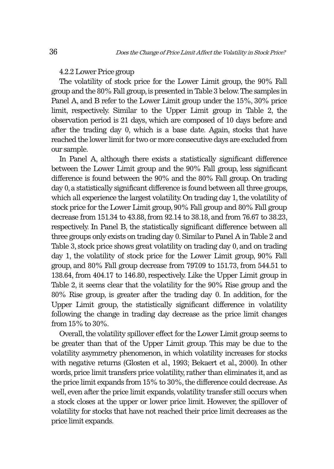#### 4.2.2 Lower Price group

The volatility of stock price for the Lower Limit group, the 90% Fall group and the 80% Fall group, is presented in Table 3 below. The samples in Panel A, and B refer to the Lower Limit group under the 15%, 30% price limit, respectively. Similar to the Upper Limit group in Table 2, the observation period is 21 days, which are composed of 10 days before and after the trading day 0, which is a base date. Again, stocks that have reached the lower limit for two or more consecutive days are excluded from our sample.

In Panel A, although there exists a statistically significant difference between the Lower Limit group and the 90% Fall group, less significant difference is found between the 90% and the 80% Fall group. On trading day 0, a statistically significant difference is found between all three groups, which all experience the largest volatility. On trading day 1, the volatility of stock price for the Lower Limit group, 90% Fall group and 80% Fall group decrease from 151.34 to 43.88, from 92.14 to 38.18, and from 76.67 to 38.23, respectively. In Panel B, the statistically significant difference between all three groups only exists on trading day 0. Similar to Panel A in Table 2 and Table 3, stock price shows great volatility on trading day 0, and on trading day 1, the volatility of stock price for the Lower Limit group, 90% Fall group, and 80% Fall group decrease from 797.09 to 151.73, from 544.51 to 138.64, from 404.17 to 146.80, respectively. Like the Upper Limit group in Table 2, it seems clear that the volatility for the 90% Rise group and the 80% Rise group, is greater after the trading day 0. In addition, for the Upper Limit group, the statistically significant difference in volatility following the change in trading day decrease as the price limit changes from 15% to 30%.

Overall, the volatility spillover effect for the Lower Limit group seems to be greater than that of the Upper Limit group. This may be due to the volatility asymmetry phenomenon, in which volatility increases for stocks with negative returns (Glosten et al., 1993; Bekaert et al., 2000). In other words, price limit transfers price volatility, rather than eliminates it, and as the price limit expands from 15% to 30%, the difference could decrease. As well, even after the price limit expands, volatility transfer still occurs when a stock closes at the upper or lower price limit. However, the spillover of volatility for stocks that have not reached their price limit decreases as the price limit expands.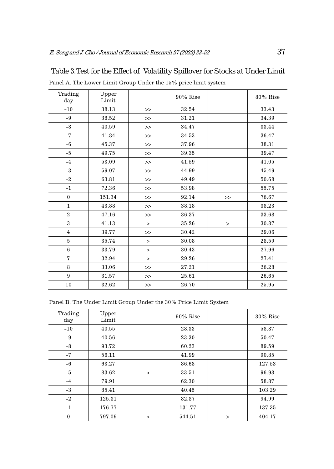| Trading<br>day | Upper<br>Limit |        | 90% Rise |        | 80% Rise |
|----------------|----------------|--------|----------|--------|----------|
| $-10$          | 38.13          | >      | 32.54    |        | 33.43    |
| $-9$           | 38.52          | $\gt$  | 31.21    |        | 34.39    |
| $-8$           | 40.59          | $\gt$  | 34.47    |        | 33.44    |
| $-7$           | 41.84          | $\gt$  | 34.53    |        | 36.47    |
| $-6$           | 45.37          | $\gt$  | 37.96    |        | 38.31    |
| $-5$           | 49.75          | $\gt$  | 39.35    |        | 39.47    |
| $-4$           | 53.09          | $\gt$  | 41.59    |        | 41.05    |
| $-3$           | 59.07          | $\gt$  | 44.99    |        | 45.49    |
| $-2$           | 63.81          | $\gt$  | 49.49    |        | 50.68    |
| $-1$           | 72.36          | $\gt$  | 53.98    |        | 55.75    |
| $\mathbf{0}$   | 151.34         | $\gt$  | 92.14    | >      | 76.67    |
| $\mathbf{1}$   | 43.88          | $\gt$  | 38.18    |        | 38.23    |
| $\overline{2}$ | 47.16          | $\gt$  | 36.37    |        | 33.68    |
| 3              | 41.13          | $\geq$ | 35.26    | $\geq$ | 30.87    |
| $\overline{4}$ | 39.77          | $\gt$  | 30.42    |        | 29.06    |
| 5              | 35.74          | $\geq$ | 30.08    |        | 28.59    |
| 6              | 33.79          | $\geq$ | 30.43    |        | 27.96    |
| $\overline{7}$ | 32.94          | $\geq$ | 29.26    |        | 27.41    |
| 8              | 33.06          | $\gt$  | 27.21    |        | 26.28    |
| 9              | 31.57          | $\gt$  | 25.61    |        | 26.65    |
| $10\,$         | 32.62          | >      | 26.70    |        | 25.95    |

Table 3. Test for the Effect of Volatility Spillover for Stocks at Under Limit

Panel A. The Lower Limit Group Under the 15% price limit system

Panel B. The Under Limit Group Under the 30% Price Limit System

| Trading<br>day | Upper<br>Limit |          | $90\%$ Rise |   | 80% Rise |
|----------------|----------------|----------|-------------|---|----------|
| $-10$          | 40.55          |          | 28.33       |   | 58.87    |
| $-9$           | 40.56          |          | 23.30       |   | 50.47    |
| $-8$           | 93.72          |          | 60.23       |   | 89.59    |
| $-7$           | 56.11          |          | 41.99       |   | 90.85    |
| $-6$           | 63.27          |          | 86.68       |   | 127.53   |
| $-5$           | 83.62          | $\geq$   | 33.51       |   | 96.98    |
| $-4$           | 79.91          |          | 62.30       |   | 58.87    |
| $-3$           | 85.41          |          | 40.45       |   | 103.29   |
| $-2$           | 125.31         |          | 82.87       |   | 94.99    |
| $-1$           | 176.77         |          | 131.77      |   | 137.35   |
| $\mathbf{0}$   | 797.09         | $\rm{~}$ | 544.51      | > | 404.17   |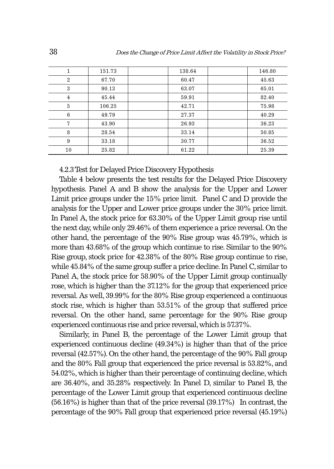|                | 151.73 | 138.64 | 146.80 |
|----------------|--------|--------|--------|
| $\overline{2}$ | 67.70  | 60.47  | 45.63  |
| 3              | 90.13  | 63.07  | 65.01  |
| $\overline{4}$ | 45.44  | 59.91  | 82.40  |
| 5              | 106.25 | 42.71  | 75.98  |
| 6              | 49.79  | 27.37  | 40.29  |
| 7              | 43.90  | 26.93  | 36.23  |
| 8              | 28.54  | 33.14  | 50.85  |
| 9              | 33.18  | 30.77  | 36.52  |
| 10             | 25.82  | 61.22  | 25.39  |

4.2.3 Test for Delayed Price Discovery Hypothesis

Table 4 below presents the test results for the Delayed Price Discovery hypothesis. Panel A and B show the analysis for the Upper and Lower Limit price groups under the 15% price limit. Panel C and D provide the analysis for the Upper and Lower price groups under the 30% price limit. In Panel A, the stock price for 63.30% of the Upper Limit group rise until the next day, while only 29.46% of them experience a price reversal. On the other hand, the percentage of the 90% Rise group was 45.79%, which is more than 43.68% of the group which continue to rise. Similar to the 90% Rise group, stock price for 42.38% of the 80% Rise group continue to rise, while 45.84% of the same group suffer a price decline. In Panel C, similar to Panel A, the stock price for 58.90% of the Upper Limit group continually rose, which is higher than the 37.12% for the group that experienced price reversal. As well, 39.99% for the 80% Rise group experienced a continuous stock rise, which is higher than 53.51% of the group that suffered price reversal. On the other hand, same percentage for the 90% Rise group experienced continuous rise and price reversal, which is 57.37%.

Similarly, in Panel B, the percentage of the Lower Limit group that experienced continuous decline (49.34%) is higher than that of the price reversal (42.57%). On the other hand, the percentage of the 90% Fall group and the 80% Fall group that experienced the price reversal is 53.82%, and 54.02%, which is higher than their percentage of continuing decline, which are 36.40%, and 35.28% respectively. In Panel D, similar to Panel B, the percentage of the Lower Limit group that experienced continuous decline (56.16%) is higher than that of the price reversal (39.17%) In contrast, the percentage of the 90% Fall group that experienced price reversal (45.19%)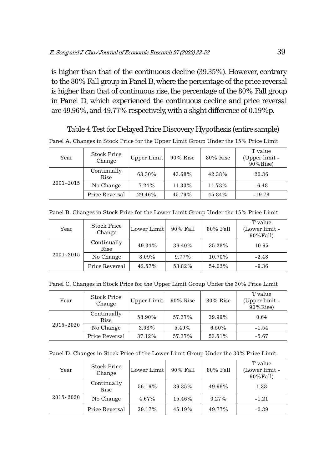is higher than that of the continuous decline (39.35%). However, contrary to the 80% Fall group in Panel B, where the percentage of the price reversal is higher than that of continuous rise, the percentage of the 80% Fall group in Panel D, which experienced the continuous decline and price reversal are 49.96%, and 49.77% respectively, with a slight difference of 0.19%p.

Table 4. Test for Delayed Price Discovery Hypothesis (entire sample) Panel A. Changes in Stock Price for the Upper Limit Group Under the 15% Price Limit

| Year          | <b>Stock Price</b><br>Change | Upper Limit | $90\%$ Rise | $80\%$ Rise | T value<br>(Upper limit -<br>$90\%$ Rise) |
|---------------|------------------------------|-------------|-------------|-------------|-------------------------------------------|
| $2001 - 2015$ | Continually<br>Rise          | 63.30%      | 43.68%      | 42.38%      | 20.36                                     |
|               | No Change                    | 7.24%       | 11.33%      | 11.78%      | $-6.48$                                   |
|               | Price Reversal               | 29.46%      | 45.79%      | 45.84%      | $-19.78$                                  |

Panel B. Changes in Stock Price for the Lower Limit Group Under the 15% Price Limit

| Year          | <b>Stock Price</b><br>Change | Lower Limit | 90% Fall | 80% Fall | T value<br>(Lower limit -<br>90%Fall) |
|---------------|------------------------------|-------------|----------|----------|---------------------------------------|
| $2001 - 2015$ | Continually<br>Rise          | 49.34%      | 36.40%   | 35.28%   | 10.95                                 |
|               | No Change                    | 8.09%       | 9.77%    | 10.70%   | $-2.48$                               |
|               | Price Reversal               | 42.57%      | 53.82%   | 54.02%   | $-9.36$                               |

Panel C. Changes in Stock Price for the Upper Limit Group Under the 30% Price Limit

| Year          | <b>Stock Price</b><br>Change | Upper Limit | $90\%$ Rise | 80% Rise | T value<br>(Upper limit -<br>$90\%$ Rise) |
|---------------|------------------------------|-------------|-------------|----------|-------------------------------------------|
| $2015 - 2020$ | Continually<br>Rise          | 58.90%      | 57.37%      | 39.99%   | 0.64                                      |
|               | No Change                    | 3.98%       | 5.49%       | 6.50%    | $-1.54$                                   |
|               | Price Reversal               | 37.12%      | 57.37%      | 53.51%   | $-5.67$                                   |

|  | Panel D. Changes in Stock Price of the Lower Limit Group Under the 30% Price Limit |  |  |
|--|------------------------------------------------------------------------------------|--|--|
|--|------------------------------------------------------------------------------------|--|--|

| Year          | <b>Stock Price</b><br>Change | Lower Limit | 90% Fall | 80% Fall | T value<br>(Lower limit -<br>90%Fall) |
|---------------|------------------------------|-------------|----------|----------|---------------------------------------|
| $2015 - 2020$ | Continually<br>Rise          | 56.16%      | 39.35%   | 49.96%   | 1.38                                  |
|               | No Change                    | 4.67%       | 15.46%   | $0.27\%$ | $-1.21$                               |
|               | Price Reversal               | 39.17%      | 45.19%   | 49.77%   | $-0.39$                               |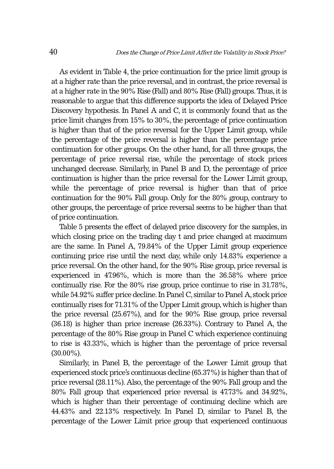As evident in Table 4, the price continuation for the price limit group is at a higher rate than the price reversal, and in contrast, the price reversal is at a higher rate in the 90% Rise (Fall) and 80% Rise (Fall) groups. Thus, it is reasonable to argue that this difference supports the idea of Delayed Price Discovery hypothesis. In Panel A and C, it is commonly found that as the price limit changes from 15% to 30%, the percentage of price continuation is higher than that of the price reversal for the Upper Limit group, while the percentage of the price reversal is higher than the percentage price continuation for other groups. On the other hand, for all three groups, the percentage of price reversal rise, while the percentage of stock prices unchanged decrease. Similarly, in Panel B and D, the percentage of price continuation is higher than the price reversal for the Lower Limit group, while the percentage of price reversal is higher than that of price continuation for the 90% Fall group. Only for the 80% group, contrary to other groups, the percentage of price reversal seems to be higher than that of price continuation.

Table 5 presents the effect of delayed price discovery for the samples, in which closing price on the trading day t and price changed at maximum are the same. In Panel A, 79.84% of the Upper Limit group experience continuing price rise until the next day, while only 14.83% experience a price reversal. On the other hand, for the 90% Rise group, price reversal is experienced in 47.96%, which is more than the 36.58% where price continually rise. For the 80% rise group, price continue to rise in 31.78%, while 54.92% suffer price decline. In Panel C, similar to Panel A, stock price continually rises for 71.31% of the Upper Limit group, which is higher than the price reversal (25.67%), and for the 90% Rise group, price reversal (36.18) is higher than price increase (26.33%). Contrary to Panel A, the percentage of the 80% Rise group in Panel C which experience continuing to rise is 43.33%, which is higher than the percentage of price reversal (30.00%).

Similarly, in Panel B, the percentage of the Lower Limit group that experienced stock price's continuous decline (65.37%) is higher than that of price reversal (28.11%). Also, the percentage of the 90% Fall group and the 80% Fall group that experienced price reversal is 47.73% and 34.92%, which is higher than their percentage of continuing decline which are 44.43% and 22.13% respectively. In Panel D, similar to Panel B, the percentage of the Lower Limit price group that experienced continuous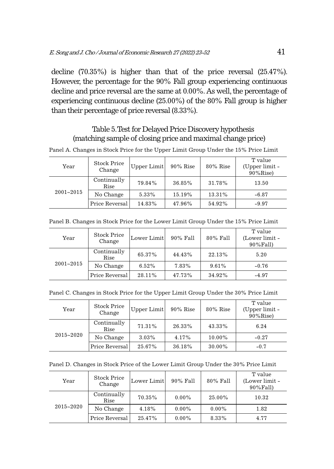decline (70.35%) is higher than that of the price reversal (25.47%). However, the percentage for the 90% Fall group experiencing continuous decline and price reversal are the same at 0.00%. As well, the percentage of experiencing continuous decline (25.00%) of the 80% Fall group is higher than their percentage of price reversal (8.33%).

# Table 5. Test for Delayed Price Discovery hypothesis (matching sample of closing price and maximal change price)

| Year          | <b>Stock Price</b><br>Change | Upper Limit | $90\%$ Rise | $80\%$ Rise | T value<br>(Upper limit -<br>$90\%$ Rise) |
|---------------|------------------------------|-------------|-------------|-------------|-------------------------------------------|
| $2001 - 2015$ | Continually<br>Rise          | 79.84%      | 36.85%      | 31.78%      | 13.50                                     |
|               | No Change                    | 5.33%       | 15.19%      | 13.31%      | $-6.87$                                   |
|               | Price Reversal               | 14.83%      | 47.96%      | 54.92%      | $-9.97$                                   |

Panel A. Changes in Stock Price for the Upper Limit Group Under the 15% Price Limit

|  |  |  |  |  | Panel B. Changes in Stock Price for the Lower Limit Group Under the 15% Price Limit |  |
|--|--|--|--|--|-------------------------------------------------------------------------------------|--|
|--|--|--|--|--|-------------------------------------------------------------------------------------|--|

| Year          | <b>Stock Price</b><br>Change | Lower Limit | 90% Fall | 80% Fall | T value<br>(Lower limit -<br>$90\%$ Fall) |
|---------------|------------------------------|-------------|----------|----------|-------------------------------------------|
| $2001 - 2015$ | Continually<br>Rise          | 65.37%      | 44.43%   | 22.13%   | 5.20                                      |
|               | No Change                    | 6.52%       | 7.83%    | 9.61%    | $-0.76$                                   |
|               | Price Reversal               | 28.11%      | 47.73%   | 34.92%   | $-4.97$                                   |

Panel C. Changes in Stock Price for the Upper Limit Group Under the 30% Price Limit

| Year          | <b>Stock Price</b><br>Change | Upper Limit | $90\%$ Rise | $80\%$ Rise | T value<br>(Upper limit -<br>$90\%$ Rise) |
|---------------|------------------------------|-------------|-------------|-------------|-------------------------------------------|
| $2015 - 2020$ | Continually<br>Rise          | 71.31%      | 26.33%      | 43.33%      | 6.24                                      |
|               | No Change                    | 3.03%       | 4.17%       | 10.00%      | $-0.27$                                   |
|               | Price Reversal               | 25.67%      | 36.18%      | 30.00%      | $-0.7$                                    |

Panel D. Changes in Stock Price of the Lower Limit Group Under the 30% Price Limit

| Year          | <b>Stock Price</b><br>Change | Lower Limit | 90% Fall | 80% Fall | T value<br>(Lower limit -<br>90%Fall) |
|---------------|------------------------------|-------------|----------|----------|---------------------------------------|
| $2015 - 2020$ | Continually<br>Rise          | 70.35%      | $0.00\%$ | 25.00%   | 10.32                                 |
|               | No Change                    | 4.18%       | $0.00\%$ | $0.00\%$ | 1.82                                  |
|               | Price Reversal               | 25.47%      | $0.00\%$ | 8.33%    | 4.77                                  |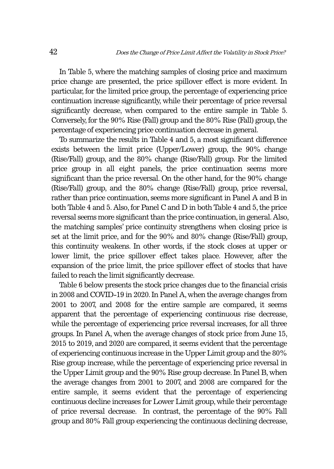In Table 5, where the matching samples of closing price and maximum price change are presented, the price spillover effect is more evident. In particular, for the limited price group, the percentage of experiencing price continuation increase significantly, while their percentage of price reversal significantly decrease, when compared to the entire sample in Table 5. Conversely, for the 90% Rise (Fall) group and the 80% Rise (Fall) group, the percentage of experiencing price continuation decrease in general.

To summarize the results in Table 4 and 5, a most significant difference exists between the limit price (Upper/Lower) group, the 90% change (Rise/Fall) group, and the 80% change (Rise/Fall) group. For the limited price group in all eight panels, the price continuation seems more significant than the price reversal. On the other hand, for the 90% change (Rise/Fall) group, and the 80% change (Rise/Fall) group, price reversal, rather than price continuation, seems more significant in Panel A and B in both Table 4 and 5. Also, for Panel C and D in both Table 4 and 5, the price reversal seems more significant than the price continuation, in general. Also, the matching samples' price continuity strengthens when closing price is set at the limit price, and for the 90% and 80% change (Rise/Fall) group, this continuity weakens. In other words, if the stock closes at upper or lower limit, the price spillover effect takes place. However, after the expansion of the price limit, the price spillover effect of stocks that have failed to reach the limit significantly decrease.

Table 6 below presents the stock price changes due to the financial crisis in 2008 and COVID-19 in 2020. In Panel A, when the average changes from 2001 to 2007, and 2008 for the entire sample are compared, it seems apparent that the percentage of experiencing continuous rise decrease, while the percentage of experiencing price reversal increases, for all three groups. In Panel A, when the average changes of stock price from June 15, 2015 to 2019, and 2020 are compared, it seems evident that the percentage of experiencing continuous increase in the Upper Limit group and the 80% Rise group increase, while the percentage of experiencing price reversal in the Upper Limit group and the 90% Rise group decrease. In Panel B, when the average changes from 2001 to 2007, and 2008 are compared for the entire sample, it seems evident that the percentage of experiencing continuous decline increases for Lower Limit group, while their percentage of price reversal decrease. In contrast, the percentage of the 90% Fall group and 80% Fall group experiencing the continuous declining decrease,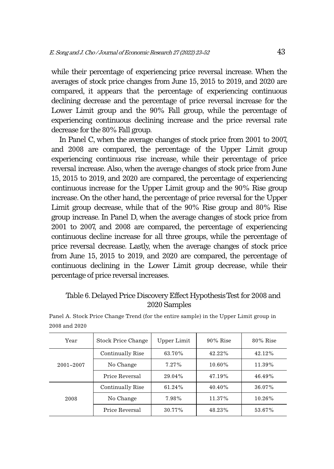while their percentage of experiencing price reversal increase. When the averages of stock price changes from June 15, 2015 to 2019, and 2020 are compared, it appears that the percentage of experiencing continuous declining decrease and the percentage of price reversal increase for the Lower Limit group and the 90% Fall group, while the percentage of experiencing continuous declining increase and the price reversal rate decrease for the 80% Fall group.

In Panel C, when the average changes of stock price from 2001 to 2007, and 2008 are compared, the percentage of the Upper Limit group experiencing continuous rise increase, while their percentage of price reversal increase. Also, when the average changes of stock price from June 15, 2015 to 2019, and 2020 are compared, the percentage of experiencing continuous increase for the Upper Limit group and the 90% Rise group increase. On the other hand, the percentage of price reversal for the Upper Limit group decrease, while that of the 90% Rise group and 80% Rise group increase. In Panel D, when the average changes of stock price from 2001 to 2007, and 2008 are compared, the percentage of experiencing continuous decline increase for all three groups, while the percentage of price reversal decrease. Lastly, when the average changes of stock price from June 15, 2015 to 2019, and 2020 are compared, the percentage of continuous declining in the Lower Limit group decrease, while their percentage of price reversal increases.

# Table 6. Delayed Price Discovery Effect Hypothesis Test for 2008 and 2020 Samples

| Year          | Stock Price Change | Upper Limit | $90\%$ Rise | $80\%$ Rise |
|---------------|--------------------|-------------|-------------|-------------|
|               | Continually Rise   | 63.70%      | $42.22\%$   | 42.12%      |
| $2001 - 2007$ | No Change          | 7.27%       | $10.60\%$   | 11.39%      |
|               | Price Reversal     | 29.04%      | 47.19%      | 46.49%      |
| 2008          | Continually Rise   | 61.24%      | $40.40\%$   | 36.07%      |
|               | No Change          | 7.98%       | 11.37%      | 10.26%      |
|               | Price Reversal     | 30.77%      | 48.23%      | 53.67%      |

Panel A. Stock Price Change Trend (for the entire sample) in the Upper Limit group in 2008 and 2020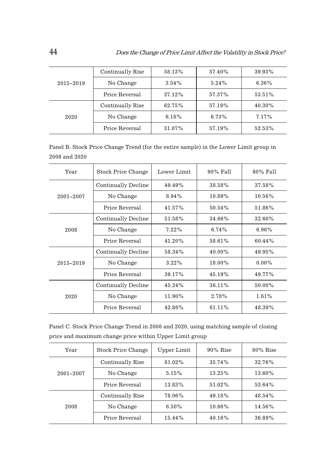| $2015 - 2019$ | Continually Rise | 58.13% | 57.40% | 39.93% |
|---------------|------------------|--------|--------|--------|
|               | No Change        | 3.54%  | 5.24%  | 6.36%  |
|               | Price Reversal   | 37.12% | 57.37% | 53.51% |
| 2020          | Continually Rise | 62.75% | 57.19% | 40.30% |
|               | No Change        | 6.18%  | 6.73%  | 7.17%  |
|               | Price Reversal   | 31.07% | 57.19% | 52.53% |

Panel B. Stock Price Change Trend (for the entire sample) in the Lower Limit group in 2008 and 2020

| Year          | Stock Price Change  | Lower Limit | 90% Fall  | 80% Fall |
|---------------|---------------------|-------------|-----------|----------|
|               | Continually Decline | 49.49%      | 38.58%    | 37.58%   |
| $2001 - 2007$ | No Change           | $8.94\%$    | 10.89%    | 10.56%   |
|               | Price Reversal      | 41.57%      | $50.54\%$ | 51.86%   |
|               | Continually Decline | 51.58%      | 34.66%    | 32.60%   |
| 2008          | No Change           | $7.22\%$    | $6.74\%$  | $6.96\%$ |
|               | Price Reversal      | 41.20%      | 58.61%    | 60.44%   |
|               | Continually Decline | 58.34%      | $40.00\%$ | 49.95%   |
| $2015 - 2019$ | No Change           | $3.22\%$    | 18.00%    | $0.00\%$ |
|               | Price Reversal      | 39.17%      | 45.19%    | 49.77%   |
|               | Continually Decline | $45.24\%$   | 36.11%    | 50.00%   |
| 2020          | No Change           | 11.90%      | 2.78%     | $1.61\%$ |
|               | Price Reversal      | 42.86%      | 61.11%    | 48.39%   |

Panel C. Stock Price Change Trend in 2008 and 2020, using matching sample of closing price and maximum change price within Upper Limit group

| Year          | Stock Price Change | Upper Limit | $90\%$ Rise | $80\%$ Rise |
|---------------|--------------------|-------------|-------------|-------------|
|               | Continually Rise   | 81.02%      | 35.74%      | 32.76%      |
| $2001 - 2007$ | No Change          | 5.15%       | 13.25%      | 13.60%      |
|               | Price Reversal     | 13.83%      | $51.02\%$   | 53.64%      |
| 2008          | Continually Rise   | 78.06%      | 49.18%      | 48.54%      |
|               | No Change          | $6.50\%$    | 10.66%      | 14.56%      |
|               | Price Reversal     | 15.44%      | $40.16\%$   | 36.89%      |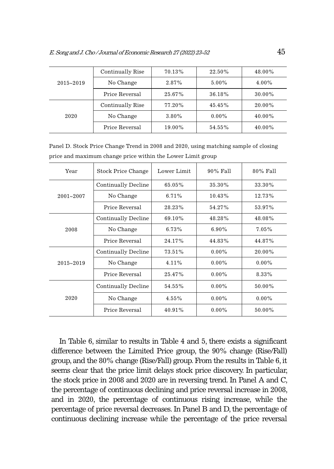| $2015 - 2019$ | Continually Rise | 70.13% | 22.50%    | 48.00% |
|---------------|------------------|--------|-----------|--------|
|               | No Change        | 2.87%  | $5.00\%$  | 4.00%  |
|               | Price Reversal   | 25.67% | 36.18%    | 30.00% |
| 2020          | Continually Rise | 77.20% | $45.45\%$ | 20.00% |
|               | No Change        | 3.80%  | $0.00\%$  | 40.00% |
|               | Price Reversal   | 19.00% | 54.55%    | 40.00% |

Panel D. Stock Price Change Trend in 2008 and 2020, using matching sample of closing price and maximum change price within the Lower Limit group

| Year          | Stock Price Change  | Lower Limit | 90% Fall  | 80% Fall |
|---------------|---------------------|-------------|-----------|----------|
|               | Continually Decline | 65.05%      | 35.30%    | 33.30%   |
| $2001 - 2007$ | No Change           | 6.71%       | $10.43\%$ | 12.73%   |
|               | Price Reversal      | 28.23%      | 54.27%    | 53.97%   |
|               | Continually Decline | 69.10%      | 48.28%    | 48.08%   |
| 2008          | No Change           | 6.73%       | $6.90\%$  | 7.05%    |
|               | Price Reversal      | 24.17%      | 44.83%    | 44.87%   |
|               | Continually Decline | 73.51%      | $0.00\%$  | 20.00%   |
| $2015 - 2019$ | No Change           | $4.11\%$    | $0.00\%$  | $0.00\%$ |
|               | Price Reversal      | 25.47%      | $0.00\%$  | 8.33%    |
| 2020          | Continually Decline | 54.55%      | $0.00\%$  | 50.00%   |
|               | No Change           | 4.55%       | $0.00\%$  | $0.00\%$ |
|               | Price Reversal      | 40.91%      | $0.00\%$  | 50.00%   |

In Table 6, similar to results in Table 4 and 5, there exists a significant difference between the Limited Price group, the 90% change (Rise/Fall) group, and the 80% change (Rise/Fall) group. From the results in Table 6, it seems clear that the price limit delays stock price discovery. In particular, the stock price in 2008 and 2020 are in reversing trend. In Panel A and C, the percentage of continuous declining and price reversal increase in 2008, and in 2020, the percentage of continuous rising increase, while the percentage of price reversal decreases. In Panel B and D, the percentage of continuous declining increase while the percentage of the price reversal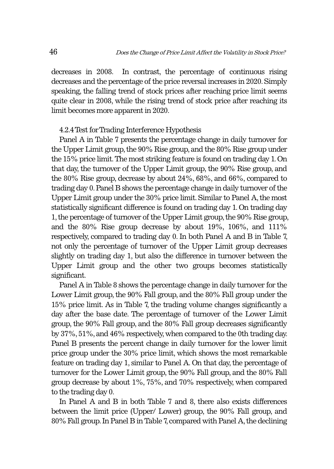decreases in 2008. In contrast, the percentage of continuous rising decreases and the percentage of the price reversal increases in 2020. Simply speaking, the falling trend of stock prices after reaching price limit seems quite clear in 2008, while the rising trend of stock price after reaching its limit becomes more apparent in 2020.

#### 4.2.4 Test for Trading Interference Hypothesis

Panel A in Table 7 presents the percentage change in daily turnover for the Upper Limit group, the 90% Rise group, and the 80% Rise group under the 15% price limit. The most striking feature is found on trading day 1. On that day, the turnover of the Upper Limit group, the 90% Rise group, and the 80% Rise group, decrease by about 24%, 68%, and 66%, compared to trading day 0. Panel B shows the percentage change in daily turnover of the Upper Limit group under the 30% price limit. Similar to Panel A, the most statistically significant difference is found on trading day 1. On trading day 1, the percentage of turnover of the Upper Limit group, the 90% Rise group, and the 80% Rise group decrease by about 19%, 106%, and 111% respectively, compared to trading day 0. In both Panel A and B in Table 7, not only the percentage of turnover of the Upper Limit group decreases slightly on trading day 1, but also the difference in turnover between the Upper Limit group and the other two groups becomes statistically significant.

Panel A in Table 8 shows the percentage change in daily turnover for the Lower Limit group, the 90% Fall group, and the 80% Fall group under the 15% price limit. As in Table 7, the trading volume changes significantly a day after the base date. The percentage of turnover of the Lower Limit group, the 90% Fall group, and the 80% Fall group decreases significantly by 37%, 51%, and 46% respectively, when compared to the 0th trading day. Panel B presents the percent change in daily turnover for the lower limit price group under the 30% price limit, which shows the most remarkable feature on trading day 1, similar to Panel A. On that day, the percentage of turnover for the Lower Limit group, the 90% Fall group, and the 80% Fall group decrease by about 1%, 75%, and 70% respectively, when compared to the trading day 0.

In Panel A and B in both Table 7 and 8, there also exists differences between the limit price (Upper/ Lower) group, the 90% Fall group, and 80% Fall group. In Panel B in Table 7, compared with Panel A, the declining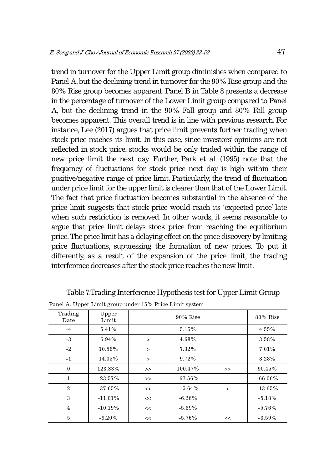trend in turnover for the Upper Limit group diminishes when compared to Panel A, but the declining trend in turnover for the 90% Rise group and the 80% Rise group becomes apparent. Panel B in Table 8 presents a decrease in the percentage of turnover of the Lower Limit group compared to Panel A, but the declining trend in the 90% Fall group and 80% Fall group becomes apparent. This overall trend is in line with previous research. For instance, Lee (2017) argues that price limit prevents further trading when stock price reaches its limit. In this case, since investors' opinions are not reflected in stock price, stocks would be only traded within the range of new price limit the next day. Further, Park et al. (1995) note that the frequency of fluctuations for stock price next day is high within their positive/negative range of price limit. Particularly, the trend of fluctuation under price limit for the upper limit is clearer than that of the Lower Limit. The fact that price fluctuation becomes substantial in the absence of the price limit suggests that stock price would reach its 'expected price' late when such restriction is removed. In other words, it seems reasonable to argue that price limit delays stock price from reaching the equilibrium price. The price limit has a delaying effect on the price discovery by limiting price fluctuations, suppressing the formation of new prices. To put it differently, as a result of the expansion of the price limit, the trading interference decreases after the stock price reaches the new limit.

| Trading<br>Date | Upper<br>Limit |          | $90\%$ Rise |         | $80\%$ Rise |
|-----------------|----------------|----------|-------------|---------|-------------|
| $-4$            | 5.41%          |          | 5.15%       |         | 4.55%       |
| $-3$            | $6.94\%$       | $\rm{~}$ | 4.68%       |         | 3.58%       |
| $-2$            | 10.56%         | $\geq$   | 7.32%       |         | 7.01%       |
| $-1$            | 14.05%         | $\rm{~}$ | 9.72%       |         | 8.28%       |
| $\mathbf{0}$    | 123.33%        | $\gt$    | 100.47%     | >       | 90.45%      |
| $\mathbf{1}$    | $-23.57\%$     | >        | $-67.56\%$  |         | $-66.06\%$  |
| $\overline{2}$  | $-37.65%$      | <<       | $-15.64%$   | $\,<\,$ | $-13.65%$   |
| 3               | $-11.01%$      | <<       | $-6.26%$    |         | $-5.18%$    |
| $\overline{4}$  | $-10.19%$      | <<       | $-5.89%$    |         | $-5.76%$    |
| 5               | $-9.20%$       | <<       | $-5.76%$    | <<      | $-3.59%$    |

Table 7. Trading Interference Hypothesis test for Upper Limit Group

Panel A. Upper Limit group under 15% Price Limit system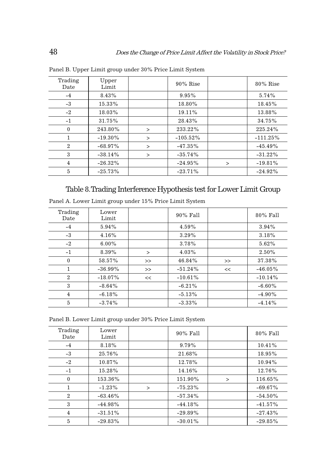| Trading<br>Date | Upper<br>Limit |              | $90\%$ Rise |              | $80\%$ Rise |
|-----------------|----------------|--------------|-------------|--------------|-------------|
| $-4$            | 8.43%          |              | 9.95%       |              | 5.74%       |
| $-3$            | 15.33%         |              | 18.80%      |              | 18.45%      |
| $-2$            | 18.03%         |              | 19.11%      |              | 13.88%      |
| $-1$            | 31.75%         |              | 28.43%      |              | 34.75%      |
| $\mathbf{0}$    | 243.80%        | $\geq$       | 233.22%     |              | 225.24%     |
| 1               | $-19.30\%$     | $\geq$       | $-105.52\%$ |              | $-111.25%$  |
| $\overline{2}$  | $-68.97\%$     | $\geq$       | $-47.35%$   |              | $-45.49%$   |
| 3               | $-38.14%$      | $\mathbf{r}$ | $-35.74%$   |              | $-31.22%$   |
| $\overline{4}$  | $-26.32%$      |              | $-24.95%$   | $\mathbf{r}$ | $-19.81%$   |
| 5               | $-25.73%$      |              | $-23.71%$   |              | $-24.92%$   |

Panel B. Upper Limit group under 30% Price Limit System

# Table 8. Trading Interference Hypothesis test for Lower Limit Group

| Trading<br>Date | Lower<br>Limit |        | 90% Fall  |    | 80% Fall  |
|-----------------|----------------|--------|-----------|----|-----------|
| $-4$            | 5.94%          |        | 4.59%     |    | 3.94%     |
| $-3$            | 4.16%          |        | 3.29%     |    | 3.18%     |
| $-2$            | $6.00\%$       |        | 3.78%     |    | 5.62%     |
| $-1$            | 8.39%          | $\geq$ | 4.03%     |    | 2.50%     |
| $\mathbf{0}$    | 58.57%         | $\gt$  | 46.84%    | >  | 37.38%    |
| $\mathbf{1}$    | $-36.99\%$     | $\gt$  | $-51.24%$ | << | $-46.05%$ |
| $\mathbf{2}$    | $-18.07\%$     | <<     | $-10.61%$ |    | $-10.14%$ |
| 3               | $-8.64%$       |        | $-6.21%$  |    | $-6.60\%$ |
| $\overline{4}$  | $-6.18%$       |        | $-5.13%$  |    | $-4.90\%$ |
| 5               | $-3.74%$       |        | $-3.33\%$ |    | $-4.14%$  |

Panel A. Lower Limit group under 15% Price Limit System

Panel B. Lower Limit group under 30% Price Limit System

| Trading<br>Lower<br>80% Fall<br>$90\%$ Fall<br>Limit<br>Date  |  |
|---------------------------------------------------------------|--|
|                                                               |  |
| 8.18%<br>9.79%<br>10.41%<br>$-4$                              |  |
| $-3$<br>25.76%<br>21.68%<br>18.95%                            |  |
| 10.87%<br>12.78%<br>$-2$<br>10.94%                            |  |
| 12.76%<br>15.28%<br>14.16%<br>$-1$                            |  |
| 153.36%<br>151.90%<br>116.65%<br>$\mathbf{0}$<br>$\rm{>}$     |  |
| $\mathbf{1}$<br>$-75.23%$<br>$-69.67\%$<br>$-1.23%$<br>$\geq$ |  |
| $-63.46\%$<br>$-57.34%$<br>$\mathbf{2}$<br>$-54.50\%$         |  |
| 3<br>$-44.98%$<br>$-44.18%$<br>$-41.57\%$                     |  |
| $-31.51%$<br>$-29.89%$<br>$-27.43%$<br>$\overline{4}$         |  |
| 5<br>$-29.83%$<br>$-30.01\%$<br>$-29.85%$                     |  |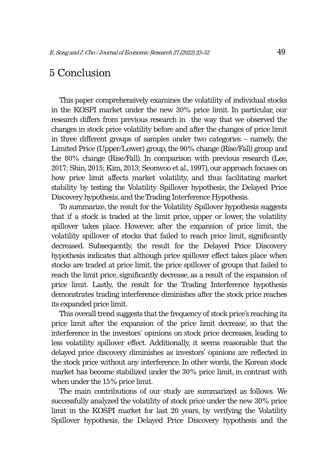# 5 Conclusion

This paper comprehensively examines the volatility of individual stocks in the KOSPI market under the new 30% price limit. In particular, our research differs from previous research in the way that we observed the changes in stock price volatility before and after the changes of price limit in three different groups of samples under two categories – namely, the Limited Price (Upper/Lower) group, the 90% change (Rise/Fall) group and the 80% change (Rise/Fall). In comparison with previous research (Lee, 2017; Shin, 2015; Kim, 2013; Seonwoo et al., 1997), our approach focuses on how price limit affects market volatility, and thus facilitating market stability by testing the Volatility Spillover hypothesis, the Delayed Price Discovery hypothesis, and the Trading Interference Hypothesis.

To summarize, the result for the Volatility Spillover hypothesis suggests that if a stock is traded at the limit price, upper or lower, the volatility spillover takes place. However, after the expansion of price limit, the volatility spillover of stocks that failed to reach price limit, significantly decreased. Subsequently, the result for the Delayed Price Discovery hypothesis indicates that although price spillover effect takes place when stocks are traded at price limit, the price spillover of groups that failed to reach the limit price, significantly decrease, as a result of the expansion of price limit. Lastly, the result for the Trading Interference hypothesis demonstrates trading interference diminishes after the stock price reaches its expanded price limit.

This overall trend suggests that the frequency of stock price's reaching its price limit after the expansion of the price limit decrease, so that the interference in the investors' opinions on stock price decreases, leading to less volatility spillover effect. Additionally, it seems reasonable that the delayed price discovery diminishes as investors' opinions are reflected in the stock price without any interference. In other words, the Korean stock market has become stabilized under the 30% price limit, in contrast with when under the 15% price limit.

The main contributions of our study are summarized as follows. We successfully analyzed the volatility of stock price under the new 30% price limit in the KOSPI market for last 20 years, by verifying the Volatility Spillover hypothesis, the Delayed Price Discovery hypothesis and the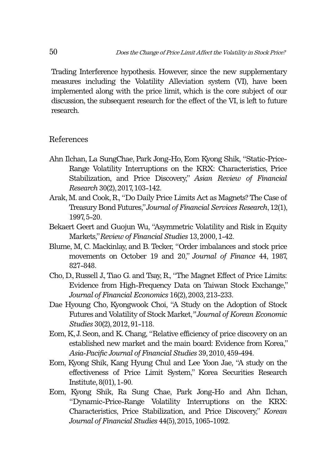Trading Interference hypothesis. However, since the new supplementary measures including the Volatility Alleviation system (VI), have been implemented along with the price limit, which is the core subject of our discussion, the subsequent research for the effect of the VI, is left to future research.

## References

- Ahn Ilchan, La SungChae, Park Jong-Ho, Eom Kyong Shik, "Static-Price-Range Volatility Interruptions on the KRX: Characteristics, Price Stabilization, and Price Discovery," *Asian Review of Financial Research* 30(2), 2017, 103-142.
- Arak, M. and Cook, R., "Do Daily Price Limits Act as Magnets? The Case of Treasury Bond Futures," *Journal of Financial Services Research*, 12(1), 1997, 5-20.
- Bekaert Geert and Guojun Wu, "Asymmetric Volatility and Risk in Equity Markets," *Review of Financial Studies* 13, 2000, 1-42.
- Blume, M, C. Mackinlay, and B. Tecker, "Order imbalances and stock price movements on October 19 and 20," *Journal of Finance* 44, 1987, 827-848.
- Cho, D., Russell J., Tiao G. and Tsay, R., "The Magnet Effect of Price Limits: Evidence from High-Frequency Data on Taiwan Stock Exchange," *Journal of Financial Economics* 16(2), 2003, 213-233.
- Dae Hyoung Cho, Kyongwook Choi, "A Study on the Adoption of Stock Futures and Volatility of Stock Market,*" Journal of Korean Economic Studies* 30(2), 2012, 91-118.
- Eom, K, J. Seon, and K. Chang, "Relative efficiency of price discovery on an established new market and the main board: Evidence from Korea," *Asia-Pacific Journal of Financial Studies* 39, 2010, 459-494.
- Eom, Kyong Shik, Kang Hyung Chul and Lee Yoon Jae, "A study on the effectiveness of Price Limit System," Korea Securities Research Institute, 8(01), 1-90.
- Eom, Kyong Shik, Ra Sung Chae, Park Jong-Ho and Ahn Ilchan, "Dynamic-Price-Range Volatility Interruptions on the KRX: Characteristics, Price Stabilization, and Price Discovery," *Korean Journal of Financial Studies* 44(5), 2015, 1065-1092.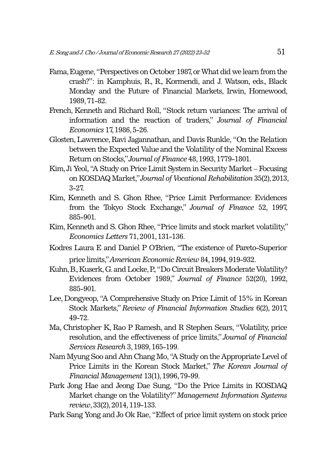- Fama, Eugene, "Perspectives on October 1987, or What did we learn from the crash?": in Kamphuis, R., R., Kormendi, and J. Watson, eds., Black Monday and the Future of Financial Markets, Irwin, Homewood, 1989, 71-82.
- French, Kenneth and Richard Roll, "Stock return variances: The arrival of information and the reaction of traders," *Journal of Financial Economics* 17, 1986, 5-26.
- Glosten, Lawrence, Ravi Jagannathan, and Davis Runkle, "On the Relation between the Expected Value and the Volatility of the Nominal Excess Return on Stocks," *Journal of Finance* 48, 1993, 1779-1801.
- Kim, Ji Yeol, "A Study on Price Limit System in Security Market Focusing on KOSDAQ Market," *Journal of Vocational Rehabilitation* 35(2), 2013, 3-27.
- Kim, Kenneth and S. Ghon Rhee, "Price Limit Performance: Evidences from the Tokyo Stock Exchange," *Journal of Finance* 52, 1997, 885-901.
- Kim, Kenneth and S. Ghon Rhee, "Price limits and stock market volatility," *Economics Letters* 71, 2001, 131-136.
- Kodres Laura E and Daniel P O'Brien, "The existence of Pareto-Superior price limits," *American Economic Review* 84, 1994, 919-932.
- Kuhn, B., Kuserk, G. and Locke, P., "Do Circuit Breakers Moderate Volatility? Evidences from October 1989," *Journal of Finance* 52(20), 1992, 885-901.
- Lee, Dongyeop, "A Comprehensive Study on Price Limit of 15% in Korean Stock Markets," *Review of Financial Information Studies* 6(2), 2017, 49-72.
- Ma, Christopher K, Rao P Ramesh, and R Stephen Sears, "Volatility, price resolution, and the effectiveness of price limits," *Journal of Financial Services Research* 3, 1989, 165-199.
- Nam Myung Soo and Ahn Chang Mo, "A Study on the Appropriate Level of Price Limits in the Korean Stock Market," *The Korean Journal of Financial Management* 13(1), 1996, 79-99.
- Park Jong Hae and Jeong Dae Sung, "Do the Price Limits in KOSDAQ Market change on the Volatility?" *Management Information Systems review*, 33(2), 2014, 119-133.
- Park Sang Yong and Jo Ok Rae, "Effect of price limit system on stock price